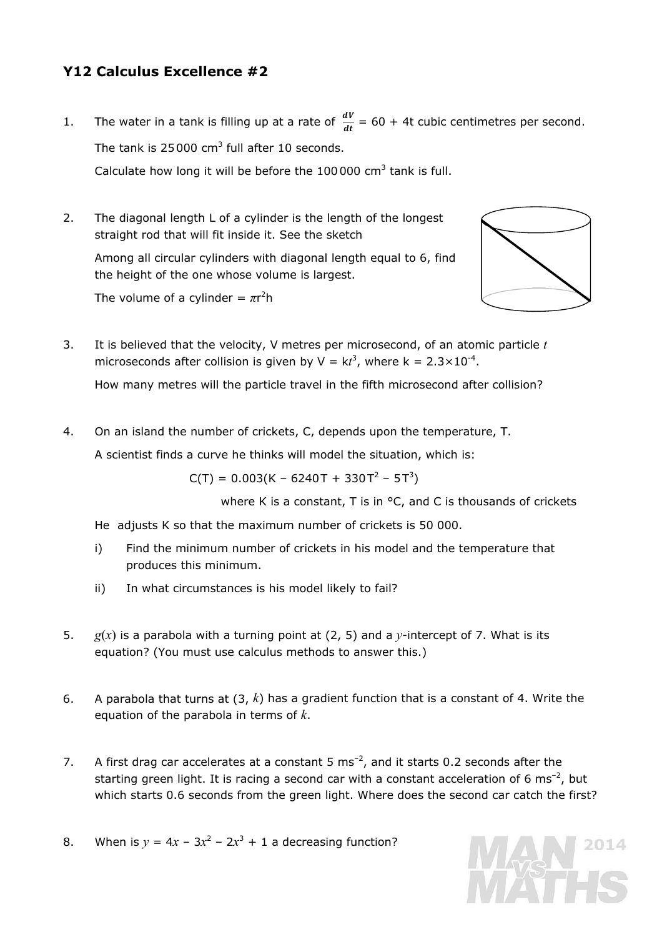# **Y12 Calculus Excellence #2**

1. The water in a tank is filling up at a rate of  $\frac{dv}{dt} = 60 + 4t$  cubic centimetres per second. The tank is 25000 cm<sup>3</sup> full after 10 seconds.

Calculate how long it will be before the  $100000$  cm<sup>3</sup> tank is full.

2. The diagonal length L of a cylinder is the length of the longest straight rod that will fit inside it. See the sketch

 Among all circular cylinders with diagonal length equal to 6, find the height of the one whose volume is largest.

*The volume of a cylinder =*  $\pi r^2 h$ 



3. It is believed that the velocity, V metres per microsecond, of an atomic particle *t* microseconds after collision is given by  $V = kt^3$ , where  $k = 2.3 \times 10^{-4}$ .

How many metres will the particle travel in the fifth microsecond after collision?

4. On an island the number of crickets, C, depends upon the temperature, T.

A scientist finds a curve he thinks will model the situation, which is:

 $C(T) = 0.003(K - 6240T + 330T^2 - 5T^3)$ 

where K is a constant, T is in <sup>o</sup>C, and C is thousands of crickets

He adjusts K so that the maximum number of crickets is 50 000.

- i) Find the minimum number of crickets in his model and the temperature that produces this minimum.
- ii) In what circumstances is his model likely to fail?
- 5. *g(x)* is a parabola with a turning point at (2, 5) and a *y*-intercept of 7. What is its equation? (You must use *calculus* methods to answer this.)
- 6. A parabola that turns at (3, *k*) has a gradient function that is a constant of 4. Write the equation of the parabola in terms of *k*.
- 7. A first drag car accelerates at a constant 5  $\text{ms}^{-2}$ , and it starts 0.2 seconds after the starting green light. It is racing a second car with a constant acceleration of 6 ms<sup>-2</sup>, but which starts 0.6 seconds from the green light. Where does the second car catch the first?
- 8. When is  $y = 4x 3x^2 2x^3 + 1$  a decreasing function?

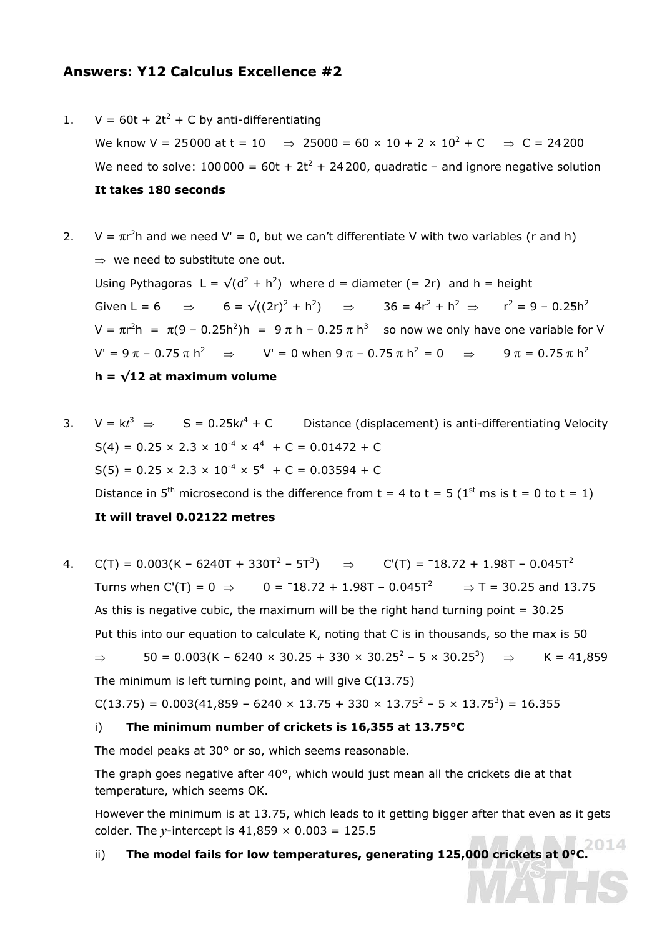## **Answers: Y12 Calculus Excellence #2**

- 1.  $V = 60t + 2t^2 + C$  by anti-differentiating We know V = 25000 at t = 10  $\Rightarrow$  25000 = 60 × 10 + 2 × 10<sup>2</sup> + C  $\Rightarrow$  C = 24200 We need to solve:  $100000 = 60t + 2t^2 + 24200$ , quadratic - and ignore negative solution **It takes 180 seconds**
- 2.  $V = \pi r^2 h$  and we need  $V' = 0$ , but we can't differentiate V with two variables (r and h) ⇒ we need to substitute one out. Using Pythagoras  $L = \sqrt{d^2 + h^2}$  where d = diameter (= 2r) and h = height Given L = 6  $\Rightarrow$  6 =  $\sqrt{(2r)^2 + h^2}$   $\Rightarrow$  36 = 4r<sup>2</sup> + h<sup>2</sup>  $\Rightarrow$  r<sup>2</sup> = 9 - 0.25h<sup>2</sup> V =  $\pi$ r<sup>2</sup>h =  $\pi$ (9 – 0.25h<sup>2</sup>)h = 9 $\pi$  h – 0.25  $\pi$  h<sup>3</sup> so now we only have one variable for V  $V' = 9 \pi - 0.75 \pi h^2$  ⇒  $V' = 0$  when  $9 \pi - 0.75 \pi h^2 = 0$  ⇒  $9 \pi = 0.75 \pi h^2$  $h = \sqrt{12}$  at maximum volume
- 3.  $V = kt^3 \Rightarrow S = 0.25kt^4 + C$  Distance (displacement) is anti-differentiating Velocity  $S(4) = 0.25 \times 2.3 \times 10^{-4} \times 4^{4} + C = 0.01472 + C$  $S(5) = 0.25 \times 2.3 \times 10^{-4} \times 5^4 + C = 0.03594 + C$ Distance in 5<sup>th</sup> microsecond is the difference from  $t = 4$  to  $t = 5$  (1<sup>st</sup> ms is  $t = 0$  to  $t = 1$ ) **It will travel 0.02122 metres**
- 4. C(T) =  $0.003$ (K −  $6240$ T +  $330$ T<sup>2</sup> −  $5$ T<sup>3</sup>)  $\Rightarrow$  C'(T) =  $^-18.72 + 1.98$ T −  $0.045$ T<sup>2</sup> Turns when C'(T) =  $0 \Rightarrow 0 = -18.72 + 1.98T - 0.045T^2 \Rightarrow T = 30.25$  and 13.75 As this is negative cubic, the maximum will be the right hand turning point  $= 30.25$  Put this into our equation to calculate K, noting that C is in thousands, so the max is 50 ⇒ 50 = 0.003(K – 6240 × 30.25 + 330 × 30.25<sup>2</sup> – 5 × 30.25<sup>3</sup>) ⇒ K = 41,859 The minimum is left turning point, and will give C(13.75)

 $C(13.75) = 0.003(41,859 - 6240 \times 13.75 + 330 \times 13.75^2 - 5 \times 13.75^3) = 16.355$ 

#### i) **The minimum number of crickets is 16,355 at 13.75°C**

The model peaks at 30° or so, which seems reasonable.

The graph goes negative after 40°, which would just mean all the crickets die at that temperature, which seems OK.

However the minimum is at 13.75, which leads to it getting bigger after that even as it gets colder. The *y*-intercept is  $41,859 \times 0.003 = 125.5$ 

# ii) **The model fails for low temperatures, generating 125,000 crickets at 0°C.**